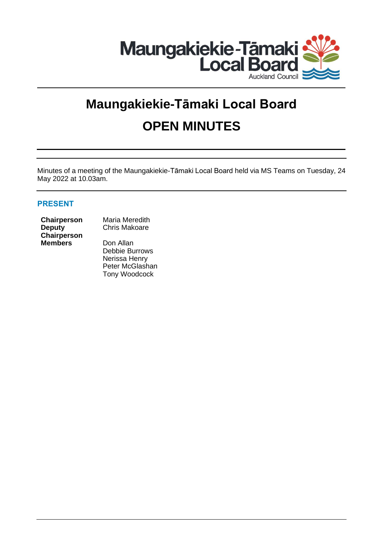

# **Maungakiekie-Tāmaki Local Board OPEN MINUTES**

Minutes of a meeting of the Maungakiekie-Tāmaki Local Board held via MS Teams on Tuesday, 24 May 2022 at 10.03am.

## **PRESENT**

## **Deputy Chairperson Members** Don Allan

**Chairperson** Maria Meredith Chris Makoare

> Debbie Burrows Nerissa Henry Peter McGlashan Tony Woodcock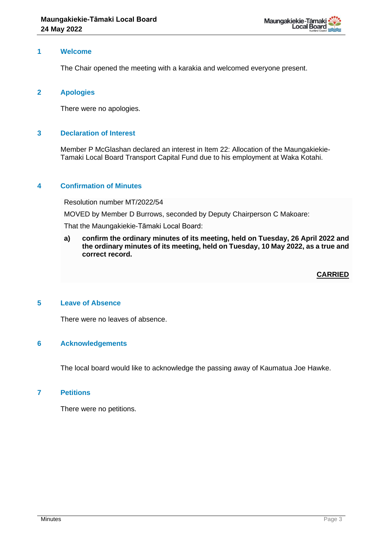

#### **1 Welcome**

The Chair opened the meeting with a karakia and welcomed everyone present.

#### **2 Apologies**

There were no apologies.

#### **3 Declaration of Interest**

Member P McGlashan declared an interest in Item 22: Allocation of the Maungakiekie-Tamaki Local Board Transport Capital Fund due to his employment at Waka Kotahi.

#### **4 Confirmation of Minutes**

Resolution number MT/2022/54

MOVED by Member D Burrows, seconded by Deputy Chairperson C Makoare:

That the Maungakiekie-Tāmaki Local Board:

**a) confirm the ordinary minutes of its meeting, held on Tuesday, 26 April 2022 and the ordinary minutes of its meeting, held on Tuesday, 10 May 2022, as a true and correct record.**

**CARRIED**

#### **5 Leave of Absence**

There were no leaves of absence.

#### **6 Acknowledgements**

The local board would like to acknowledge the passing away of Kaumatua Joe Hawke.

#### **7 Petitions**

There were no petitions.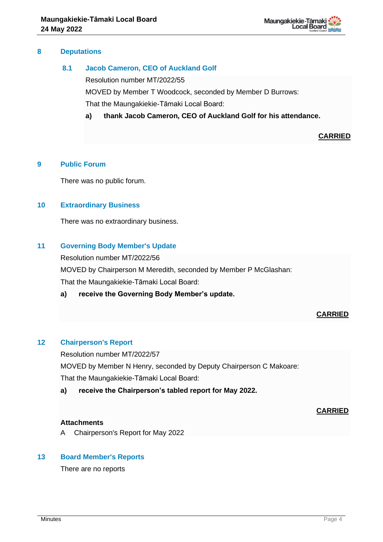

#### **8 Deputations**

## **8.1 Jacob Cameron, CEO of Auckland Golf**

Resolution number MT/2022/55

MOVED by Member T Woodcock, seconded by Member D Burrows:

That the Maungakiekie-Tāmaki Local Board:

**a) thank Jacob Cameron, CEO of Auckland Golf for his attendance.**

**CARRIED**

#### **9 Public Forum**

There was no public forum.

#### **10 Extraordinary Business**

There was no extraordinary business.

#### **11 Governing Body Member's Update**

Resolution number MT/2022/56

MOVED by Chairperson M Meredith, seconded by Member P McGlashan:

That the Maungakiekie-Tāmaki Local Board:

#### **a) receive the Governing Body Member's update.**

#### **CARRIED**

## **12 Chairperson's Report**

Resolution number MT/2022/57 MOVED by Member N Henry, seconded by Deputy Chairperson C Makoare: That the Maungakiekie-Tāmaki Local Board:

**a) receive the Chairperson's tabled report for May 2022.**

#### **CARRIED**

#### **Attachments**

A Chairperson's Report for May 2022

#### **13 Board Member's Reports**

There are no reports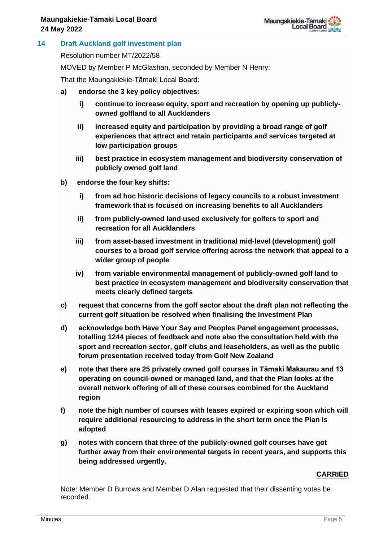## **14 Draft Auckland golf investment plan**

Resolution number MT/2022/58

MOVED by Member P McGlashan, seconded by Member N Henry:

That the Maungakiekie-Tāmaki Local Board:

- **a) endorse the 3 key policy objectives:**
	- **i) continue to increase equity, sport and recreation by opening up publiclyowned golfland to all Aucklanders**
	- **ii) increased equity and participation by providing a broad range of golf experiences that attract and retain participants and services targeted at low participation groups**
	- **iii) best practice in ecosystem management and biodiversity conservation of publicly owned golf land**
- **b) endorse the four key shifts:**
	- **i) from ad hoc historic decisions of legacy councils to a robust investment framework that is focused on increasing benefits to all Aucklanders**
	- **ii) from publicly-owned land used exclusively for golfers to sport and recreation for all Aucklanders**
	- **iii) from asset-based investment in traditional mid-level (development) golf courses to a broad golf service offering across the network that appeal to a wider group of people**
	- **iv) from variable environmental management of publicly-owned golf land to best practice in ecosystem management and biodiversity conservation that meets clearly defined targets**
- **c) request that concerns from the golf sector about the draft plan not reflecting the current golf situation be resolved when finalising the Investment Plan**
- **d) acknowledge both Have Your Say and Peoples Panel engagement processes, totalling 1244 pieces of feedback and note also the consultation held with the sport and recreation sector, golf clubs and leaseholders, as well as the public forum presentation received today from Golf New Zealand**
- **e) note that there are 25 privately owned golf courses in Tāmaki Makaurau and 13 operating on council-owned or managed land, and that the Plan looks at the overall network offering of all of these courses combined for the Auckland region**
- **f) note the high number of courses with leases expired or expiring soon which will require additional resourcing to address in the short term once the Plan is adopted**
- **g) notes with concern that three of the publicly-owned golf courses have got further away from their environmental targets in recent years, and supports this being addressed urgently.**

## **CARRIED**

Note: Member D Burrows and Member D Alan requested that their dissenting votes be recorded.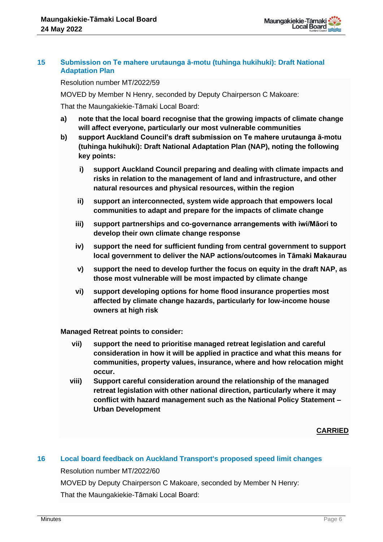

#### **15 Submission on Te mahere urutaunga ā-motu (tuhinga hukihuki): Draft National Adaptation Plan**

Resolution number MT/2022/59

MOVED by Member N Henry, seconded by Deputy Chairperson C Makoare:

That the Maungakiekie-Tāmaki Local Board:

- **a) note that the local board recognise that the growing impacts of climate change will affect everyone, particularly our most vulnerable communities**
- **b) support Auckland Council's draft submission on Te mahere urutaunga ā-motu (tuhinga hukihuki): Draft National Adaptation Plan (NAP), noting the following key points:**
	- **i) support Auckland Council preparing and dealing with climate impacts and risks in relation to the management of land and infrastructure, and other natural resources and physical resources, within the region**
	- **ii) support an interconnected, system wide approach that empowers local communities to adapt and prepare for the impacts of climate change**
	- **iii) support partnerships and co-governance arrangements with iwi/Māori to develop their own climate change response**
	- **iv) support the need for sufficient funding from central government to support local government to deliver the NAP actions/outcomes in Tāmaki Makaurau**
	- **v) support the need to develop further the focus on equity in the draft NAP, as those most vulnerable will be most impacted by climate change**
	- **vi) support developing options for home flood insurance properties most affected by climate change hazards, particularly for low-income house owners at high risk**

**Managed Retreat points to consider:**

- **vii) support the need to prioritise managed retreat legislation and careful consideration in how it will be applied in practice and what this means for communities, property values, insurance, where and how relocation might occur.**
- **viii) Support careful consideration around the relationship of the managed retreat legislation with other national direction, particularly where it may conflict with hazard management such as the National Policy Statement – Urban Development**

**CARRIED**

## **16 Local board feedback on Auckland Transport's proposed speed limit changes**

Resolution number MT/2022/60

MOVED by Deputy Chairperson C Makoare, seconded by Member N Henry: That the Maungakiekie-Tāmaki Local Board:

**Minutes and the contract of the contract of the contract of the contract of the contract of the contract of the contract of the contract of the contract of the contract of the contract of the contract of the contract of t**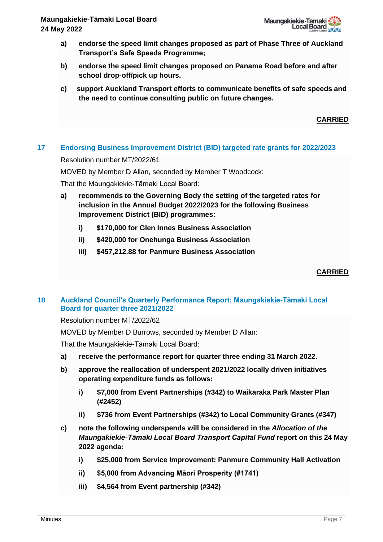- **a) endorse the speed limit changes proposed as part of Phase Three of Auckland Transport's Safe Speeds Programme;**
- **b) endorse the speed limit changes proposed on Panama Road before and after school drop-off/pick up hours.**
- **c) support Auckland Transport efforts to communicate benefits of safe speeds and the need to continue consulting public on future changes.**

## **CARRIED**

## **17 Endorsing Business Improvement District (BID) targeted rate grants for 2022/2023**

Resolution number MT/2022/61

MOVED by Member D Allan, seconded by Member T Woodcock:

That the Maungakiekie-Tāmaki Local Board:

- **a) recommends to the Governing Body the setting of the targeted rates for inclusion in the Annual Budget 2022/2023 for the following Business Improvement District (BID) programmes:**
	- **i) \$170,000 for Glen Innes Business Association**
	- **ii) \$420,000 for Onehunga Business Association**
	- **iii) \$457,212.88 for Panmure Business Association**

## **CARRIED**

## **18 Auckland Council's Quarterly Performance Report: Maungakiekie-Tāmaki Local Board for quarter three 2021/2022**

Resolution number MT/2022/62

MOVED by Member D Burrows, seconded by Member D Allan:

That the Maungakiekie-Tāmaki Local Board:

- **a) receive the performance report for quarter three ending 31 March 2022.**
- **b) approve the reallocation of underspent 2021/2022 locally driven initiatives operating expenditure funds as follows:** 
	- **i) \$7,000 from Event Partnerships (#342) to Waikaraka Park Master Plan (#2452)**
	- **ii) \$736 from Event Partnerships (#342) to Local Community Grants (#347)**
- **c) note the following underspends will be considered in the** *Allocation of the Maungakiekie-Tāmaki Local Board Transport Capital Fund* **report on this 24 May 2022 agenda:**
	- **i) \$25,000 from Service Improvement: Panmure Community Hall Activation**
	- **ii) \$5,000 from Advancing Māori Prosperity (#1741)**
	- **iii) \$4,564 from Event partnership (#342)**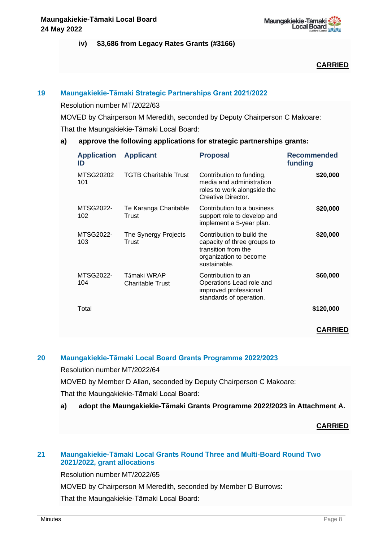

## **iv) \$3,686 from Legacy Rates Grants (#3166)**

**CARRIED**

## **19 Maungakiekie-Tāmaki Strategic Partnerships Grant 2021/2022**

Resolution number MT/2022/63

MOVED by Chairperson M Meredith, seconded by Deputy Chairperson C Makoare: That the Maungakiekie-Tāmaki Local Board:

## **a) approve the following applications for strategic partnerships grants:**

| <b>Application</b><br>ID | <b>Applicant</b>                       | <b>Proposal</b>                                                                                                           | <b>Recommended</b><br>funding |
|--------------------------|----------------------------------------|---------------------------------------------------------------------------------------------------------------------------|-------------------------------|
| MTSG20202<br>101         | <b>TGTB Charitable Trust</b>           | Contribution to funding,<br>media and administration<br>roles to work alongside the<br>Creative Director.                 | \$20,000                      |
| MTSG2022-<br>102         | Te Karanga Charitable<br>Trust         | Contribution to a business<br>support role to develop and<br>implement a 5-year plan.                                     | \$20,000                      |
| MTSG2022-<br>103         | The Synergy Projects<br>Trust          | Contribution to build the<br>capacity of three groups to<br>transition from the<br>organization to become<br>sustainable. | \$20,000                      |
| MTSG2022-<br>104         | Tāmaki WRAP<br><b>Charitable Trust</b> | Contribution to an<br>Operations Lead role and<br>improved professional<br>standards of operation.                        | \$60,000                      |
| Total                    |                                        |                                                                                                                           | \$120,000                     |
|                          |                                        |                                                                                                                           | <b>CARRIED</b>                |

## **20 Maungakiekie-Tāmaki Local Board Grants Programme 2022/2023**

Resolution number MT/2022/64

MOVED by Member D Allan, seconded by Deputy Chairperson C Makoare:

That the Maungakiekie-Tāmaki Local Board:

**a) adopt the Maungakiekie-Tāmaki Grants Programme 2022/2023 in Attachment A.**

#### **CARRIED**

## **21 Maungakiekie-Tāmaki Local Grants Round Three and Multi-Board Round Two 2021/2022, grant allocations**

Resolution number MT/2022/65

MOVED by Chairperson M Meredith, seconded by Member D Burrows:

That the Maungakiekie-Tāmaki Local Board: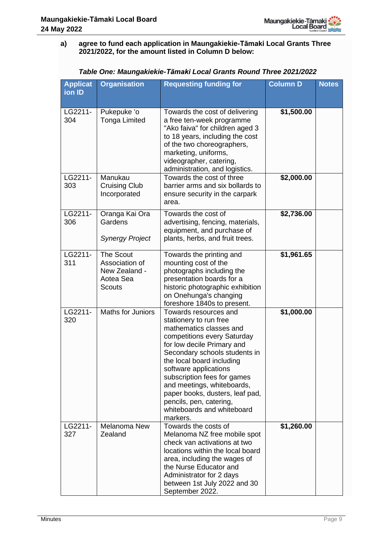## **a) agree to fund each application in Maungakiekie-Tāmaki Local Grants Three 2021/2022, for the amount listed in Column D below:**

| <b>Applicat</b><br>ion ID | <b>Organisation</b>                                                        | <b>Requesting funding for</b>                                                                                                                                                                                                                                                                                                                                                                       | <b>Column D</b> | <b>Notes</b> |
|---------------------------|----------------------------------------------------------------------------|-----------------------------------------------------------------------------------------------------------------------------------------------------------------------------------------------------------------------------------------------------------------------------------------------------------------------------------------------------------------------------------------------------|-----------------|--------------|
| LG2211-<br>304            | Pukepuke 'o<br><b>Tonga Limited</b>                                        | Towards the cost of delivering<br>a free ten-week programme<br>"Ako faiva" for children aged 3<br>to 18 years, including the cost<br>of the two choreographers,<br>marketing, uniforms,<br>videographer, catering,<br>administration, and logistics.                                                                                                                                                | \$1,500.00      |              |
| LG2211-<br>303            | Manukau<br><b>Cruising Club</b><br>Incorporated                            | Towards the cost of three<br>barrier arms and six bollards to<br>ensure security in the carpark<br>area.                                                                                                                                                                                                                                                                                            | \$2,000.00      |              |
| LG2211-<br>306            | Oranga Kai Ora<br>Gardens<br><b>Synergy Project</b>                        | Towards the cost of<br>advertising, fencing, materials,<br>equipment, and purchase of<br>plants, herbs, and fruit trees.                                                                                                                                                                                                                                                                            | \$2,736.00      |              |
| LG2211-<br>311            | <b>The Scout</b><br>Association of<br>New Zealand -<br>Aotea Sea<br>Scouts | Towards the printing and<br>mounting cost of the<br>photographs including the<br>presentation boards for a<br>historic photographic exhibition<br>on Onehunga's changing<br>foreshore 1840s to present.                                                                                                                                                                                             | \$1,961.65      |              |
| LG2211-<br>320            | <b>Maths for Juniors</b>                                                   | Towards resources and<br>stationery to run free<br>mathematics classes and<br>competitions every Saturday<br>for low decile Primary and<br>Secondary schools students in<br>the local board including<br>software applications<br>subscription fees for games<br>and meetings, whiteboards,<br>paper books, dusters, leaf pad,<br>pencils, pen, catering,<br>whiteboards and whiteboard<br>markers. | \$1,000.00      |              |
| LG2211-<br>327            | Melanoma New<br>Zealand                                                    | Towards the costs of<br>Melanoma NZ free mobile spot<br>check van activations at two<br>locations within the local board<br>area, including the wages of<br>the Nurse Educator and<br>Administrator for 2 days<br>between 1st July 2022 and 30<br>September 2022.                                                                                                                                   | \$1,260.00      |              |

| Table One: Maungakiekie-Tāmaki Local Grants Round Three 2021/2022 |
|-------------------------------------------------------------------|
|-------------------------------------------------------------------|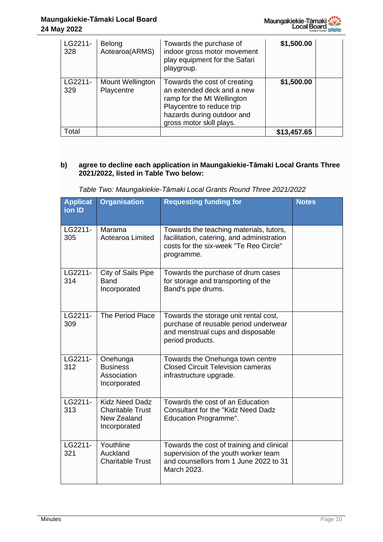

| LG2211-<br>328 | Belong<br>Aotearoa(ARMS)       | Towards the purchase of<br>indoor gross motor movement<br>play equipment for the Safari<br>playgroup.                                                                           | \$1,500.00  |  |
|----------------|--------------------------------|---------------------------------------------------------------------------------------------------------------------------------------------------------------------------------|-------------|--|
| LG2211-<br>329 | Mount Wellington<br>Playcentre | Towards the cost of creating<br>an extended deck and a new<br>ramp for the Mt Wellington<br>Playcentre to reduce trip<br>hazards during outdoor and<br>gross motor skill plays. | \$1,500.00  |  |
| Total          |                                |                                                                                                                                                                                 | \$13,457.65 |  |

## **b) agree to decline each application in Maungakiekie-Tāmaki Local Grants Three 2021/2022, listed in Table Two below:**

|  | Table Two: Maungakiekie-Tāmaki Local Grants Round Three 2021/2022 |  |  |  |  |
|--|-------------------------------------------------------------------|--|--|--|--|
|  |                                                                   |  |  |  |  |

| <b>Applicat</b><br>ion ID | <b>Organisation</b>                                                             | <b>Requesting funding for</b>                                                                                                                 | <b>Notes</b> |
|---------------------------|---------------------------------------------------------------------------------|-----------------------------------------------------------------------------------------------------------------------------------------------|--------------|
| LG2211-<br>305            | Marama<br>Aotearoa Limited                                                      | Towards the teaching materials, tutors,<br>facilitation, catering, and administration<br>costs for the six-week "Te Reo Circle"<br>programme. |              |
| LG2211-<br>314            | City of Sails Pipe<br><b>Band</b><br>Incorporated                               | Towards the purchase of drum cases<br>for storage and transporting of the<br>Band's pipe drums.                                               |              |
| LG2211-<br>309            | The Period Place                                                                | Towards the storage unit rental cost,<br>purchase of reusable period underwear<br>and menstrual cups and disposable<br>period products.       |              |
| LG2211-<br>312            | Onehunga<br><b>Business</b><br>Association<br>Incorporated                      | Towards the Onehunga town centre<br><b>Closed Circuit Television cameras</b><br>infrastructure upgrade.                                       |              |
| LG2211-<br>313            | <b>Kidz Need Dadz</b><br><b>Charitable Trust</b><br>New Zealand<br>Incorporated | Towards the cost of an Education<br><b>Consultant for the "Kidz Need Dadz</b><br>Education Programme".                                        |              |
| LG2211-<br>321            | Youthline<br>Auckland<br><b>Charitable Trust</b>                                | Towards the cost of training and clinical<br>supervision of the youth worker team<br>and counsellors from 1 June 2022 to 31<br>March 2023.    |              |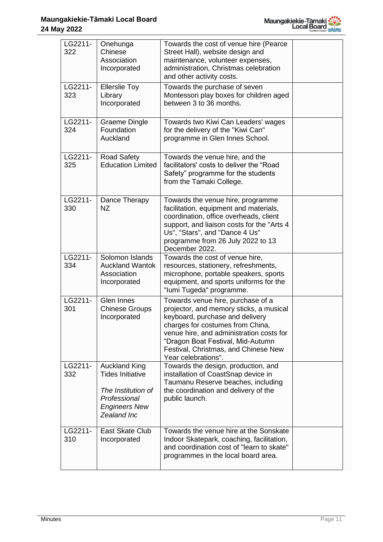

| LG2211-<br>322 | Onehunga<br>Chinese<br>Association<br>Incorporated                                                                           | Towards the cost of venue hire (Pearce<br>Street Hall), website design and<br>maintenance, volunteer expenses,<br>administration, Christmas celebration<br>and other activity costs.                                                                                                                |  |
|----------------|------------------------------------------------------------------------------------------------------------------------------|-----------------------------------------------------------------------------------------------------------------------------------------------------------------------------------------------------------------------------------------------------------------------------------------------------|--|
| LG2211-<br>323 | <b>Ellerslie Toy</b><br>Library<br>Incorporated                                                                              | Towards the purchase of seven<br>Montessori play boxes for children aged<br>between 3 to 36 months.                                                                                                                                                                                                 |  |
| LG2211-<br>324 | <b>Graeme Dingle</b><br>Foundation<br>Auckland                                                                               | Towards two Kiwi Can Leaders' wages<br>for the delivery of the "Kiwi Can"<br>programme in Glen Innes School.                                                                                                                                                                                        |  |
| LG2211-<br>325 | <b>Road Safety</b><br><b>Education Limited</b>                                                                               | Towards the venue hire, and the<br>facilitators' costs to deliver the "Road"<br>Safety" programme for the students<br>from the Tamaki College.                                                                                                                                                      |  |
| LG2211-<br>330 | Dance Therapy<br>NZ.                                                                                                         | Towards the venue hire, programme<br>facilitation, equipment and materials,<br>coordination, office overheads, client<br>support, and liaison costs for the "Arts 4<br>Us", "Stars", and "Dance 4 Us"<br>programme from 26 July 2022 to 13<br>December 2022.                                        |  |
| LG2211-<br>334 | Solomon Islands<br><b>Auckland Wantok</b><br>Association<br>Incorporated                                                     | Towards the cost of venue hire,<br>resources, stationery, refreshments,<br>microphone, portable speakers, sports<br>equipment, and sports uniforms for the<br>"lumi Tugeda" programme.                                                                                                              |  |
| LG2211-<br>301 | <b>Glen Innes</b><br><b>Chinese Groups</b><br>Incorporated                                                                   | Towards venue hire, purchase of a<br>projector, and memory sticks, a musical<br>keyboard, purchase and delivery<br>charges for costumes from China,<br>venue hire, and administration costs for<br>"Dragon Boat Festival, Mid-Autumn<br>Festival, Christmas, and Chinese New<br>Year celebrations". |  |
| LG2211-<br>332 | <b>Auckland King</b><br><b>Tides Initiative</b><br>The Institution of<br>Professional<br><b>Engineers New</b><br>Zealand Inc | Towards the design, production, and<br>installation of CoastSnap device in<br>Taumanu Reserve beaches, including<br>the coordination and delivery of the<br>public launch.                                                                                                                          |  |
| LG2211-<br>310 | East Skate Club<br>Incorporated                                                                                              | Towards the venue hire at the Sonskate<br>Indoor Skatepark, coaching, facilitation,<br>and coordination cost of "learn to skate"<br>programmes in the local board area.                                                                                                                             |  |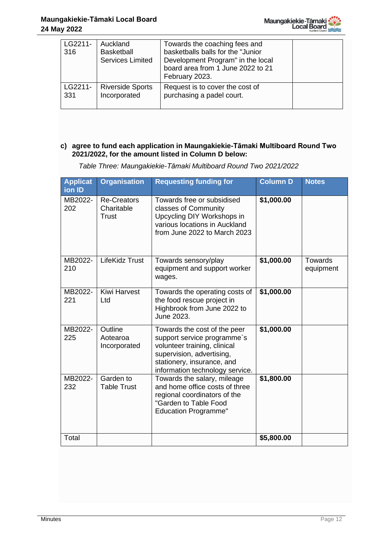

| LG2211-<br>316 | Auckland<br><b>Basketball</b><br><b>Services Limited</b> | Towards the coaching fees and<br>basketballs balls for the "Junior<br>Development Program" in the local<br>board area from 1 June 2022 to 21<br>February 2023. |  |
|----------------|----------------------------------------------------------|----------------------------------------------------------------------------------------------------------------------------------------------------------------|--|
| LG2211-        | <b>Riverside Sports</b>                                  | Request is to cover the cost of                                                                                                                                |  |
| 331            | Incorporated                                             | purchasing a padel court.                                                                                                                                      |  |

## **c) agree to fund each application in Maungakiekie-Tāmaki Multiboard Round Two 2021/2022, for the amount listed in Column D below:**

*Table Three: Maungakiekie-Tāmaki Multiboard Round Two 2021/2022*

| <b>Applicat</b><br>ion ID | <b>Organisation</b>                       | <b>Requesting funding for</b>                                                                                                                                                             | <b>Column D</b> | <b>Notes</b>                |
|---------------------------|-------------------------------------------|-------------------------------------------------------------------------------------------------------------------------------------------------------------------------------------------|-----------------|-----------------------------|
| MB2022-<br>202            | <b>Re-Creators</b><br>Charitable<br>Trust | Towards free or subsidised<br>classes of Community<br>Upcycling DIY Workshops in<br>various locations in Auckland<br>from June 2022 to March 2023                                         | \$1,000.00      |                             |
| MB2022-<br>210            | LifeKidz Trust                            | Towards sensory/play<br>equipment and support worker<br>wages.                                                                                                                            | \$1,000.00      | <b>Towards</b><br>equipment |
| MB2022-<br>221            | <b>Kiwi Harvest</b><br>Ltd                | Towards the operating costs of<br>the food rescue project in<br>Highbrook from June 2022 to<br>June 2023.                                                                                 | \$1,000.00      |                             |
| MB2022-<br>225            | Outline<br>Aotearoa<br>Incorporated       | Towards the cost of the peer<br>support service programme's<br>volunteer training, clinical<br>supervision, advertising,<br>stationery, insurance, and<br>information technology service. | \$1,000.00      |                             |
| MB2022-<br>232            | Garden to<br><b>Table Trust</b>           | Towards the salary, mileage<br>and home office costs of three<br>regional coordinators of the<br>"Garden to Table Food<br><b>Education Programme"</b>                                     | \$1,800.00      |                             |
| Total                     |                                           |                                                                                                                                                                                           | \$5,800.00      |                             |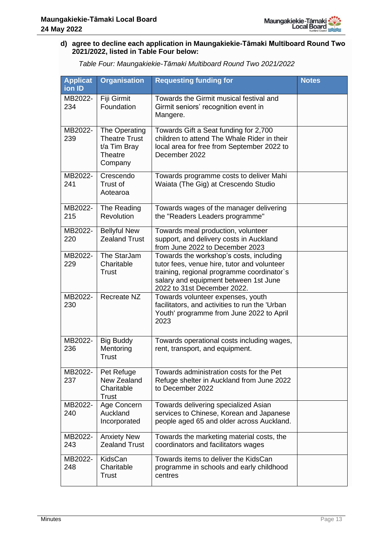

## **d) agree to decline each application in Maungakiekie-Tāmaki Multiboard Round Two 2021/2022, listed in Table Four below:**

*Table Four: Maungakiekie-Tāmaki Multiboard Round Two 2021/2022*

| <b>Applicat</b><br>ion ID | <b>Organisation</b>                                                                | <b>Requesting funding for</b>                                                                                                                                                                                | <b>Notes</b> |
|---------------------------|------------------------------------------------------------------------------------|--------------------------------------------------------------------------------------------------------------------------------------------------------------------------------------------------------------|--------------|
| MB2022-<br>234            | Fiji Girmit<br>Foundation                                                          | Towards the Girmit musical festival and<br>Girmit seniors' recognition event in<br>Mangere.                                                                                                                  |              |
| MB2022-<br>239            | The Operating<br><b>Theatre Trust</b><br>t/a Tim Bray<br><b>Theatre</b><br>Company | Towards Gift a Seat funding for 2,700<br>children to attend The Whale Rider in their<br>local area for free from September 2022 to<br>December 2022                                                          |              |
| MB2022-<br>241            | Crescendo<br>Trust of<br>Aotearoa                                                  | Towards programme costs to deliver Mahi<br>Waiata (The Gig) at Crescendo Studio                                                                                                                              |              |
| MB2022-<br>215            | The Reading<br>Revolution                                                          | Towards wages of the manager delivering<br>the "Readers Leaders programme"                                                                                                                                   |              |
| MB2022-<br>220            | <b>Bellyful New</b><br><b>Zealand Trust</b>                                        | Towards meal production, volunteer<br>support, and delivery costs in Auckland<br>from June 2022 to December 2023                                                                                             |              |
| MB2022-<br>229            | The StarJam<br>Charitable<br><b>Trust</b>                                          | Towards the workshop's costs, including<br>tutor fees, venue hire, tutor and volunteer<br>training, regional programme coordinator's<br>salary and equipment between 1st June<br>2022 to 31st December 2022. |              |
| MB2022-<br>230            | <b>Recreate NZ</b>                                                                 | Towards volunteer expenses, youth<br>facilitators, and activities to run the 'Urban<br>Youth' programme from June 2022 to April<br>2023                                                                      |              |
| MB2022-<br>236            | <b>Big Buddy</b><br>Mentoring<br><b>Trust</b>                                      | Towards operational costs including wages,<br>rent, transport, and equipment.                                                                                                                                |              |
| MB2022-<br>237            | Pet Refuge<br>New Zealand<br>Charitable<br>Trust                                   | Towards administration costs for the Pet<br>Refuge shelter in Auckland from June 2022<br>to December 2022                                                                                                    |              |
| MB2022-<br>240            | Age Concern<br>Auckland<br>Incorporated                                            | Towards delivering specialized Asian<br>services to Chinese, Korean and Japanese<br>people aged 65 and older across Auckland.                                                                                |              |
| MB2022-<br>243            | <b>Anxiety New</b><br><b>Zealand Trust</b>                                         | Towards the marketing material costs, the<br>coordinators and facilitators wages                                                                                                                             |              |
| MB2022-<br>248            | KidsCan<br>Charitable<br>Trust                                                     | Towards items to deliver the KidsCan<br>programme in schools and early childhood<br>centres                                                                                                                  |              |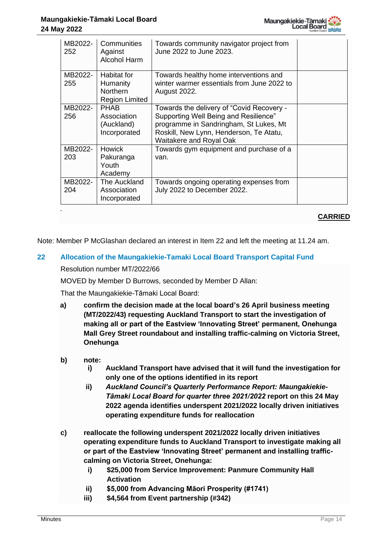

| MB2022-<br>252 | Communities<br>Against<br><b>Alcohol Harm</b>                       | Towards community navigator project from<br>June 2022 to June 2023.                                                                                                                                |  |
|----------------|---------------------------------------------------------------------|----------------------------------------------------------------------------------------------------------------------------------------------------------------------------------------------------|--|
| MB2022-<br>255 | <b>Habitat for</b><br>Humanity<br>Northern<br><b>Region Limited</b> | Towards healthy home interventions and<br>winter warmer essentials from June 2022 to<br><b>August 2022.</b>                                                                                        |  |
| MB2022-<br>256 | <b>PHAB</b><br>Association<br>(Auckland)<br>Incorporated            | Towards the delivery of "Covid Recovery -<br>Supporting Well Being and Resilience"<br>programme in Sandringham, St Lukes, Mt<br>Roskill, New Lynn, Henderson, Te Atatu,<br>Waitakere and Royal Oak |  |
| MB2022-<br>203 | <b>Howick</b><br>Pakuranga<br>Youth<br>Academy                      | Towards gym equipment and purchase of a<br>van.                                                                                                                                                    |  |
| MB2022-<br>204 | The Auckland<br>Association<br>Incorporated                         | Towards ongoing operating expenses from<br>July 2022 to December 2022.                                                                                                                             |  |

## **CARRIED**

Note: Member P McGlashan declared an interest in Item 22 and left the meeting at 11.24 am.

#### **22 Allocation of the Maungakiekie-Tamaki Local Board Transport Capital Fund**

#### Resolution number MT/2022/66

MOVED by Member D Burrows, seconded by Member D Allan:

That the Maungakiekie-Tāmaki Local Board:

- **a) confirm the decision made at the local board's 26 April business meeting (MT/2022/43) requesting Auckland Transport to start the investigation of making all or part of the Eastview 'Innovating Street' permanent, Onehunga Mall Grey Street roundabout and installing traffic-calming on Victoria Street, Onehunga**
- **b) note:**
	- **i) Auckland Transport have advised that it will fund the investigation for only one of the options identified in its report**
	- **ii)** *Auckland Council's Quarterly Performance Report: Maungakiekie-Tāmaki Local Board for quarter three 2021/2022* **report on this 24 May 2022 agenda identifies underspent 2021/2022 locally driven initiatives operating expenditure funds for reallocation**
- **c) reallocate the following underspent 2021/2022 locally driven initiatives operating expenditure funds to Auckland Transport to investigate making all or part of the Eastview 'Innovating Street' permanent and installing trafficcalming on Victoria Street, Onehunga:**
	- **i) \$25,000 from Service Improvement: Panmure Community Hall Activation**
	- **ii) \$5,000 from Advancing Māori Prosperity (#1741)**
	- **iii) \$4,564 from Event partnership (#342)**